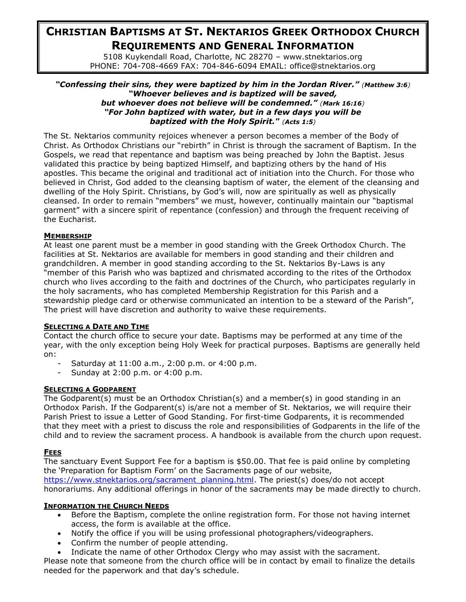# **CHRISTIAN BAPTISMS AT ST. NEKTARIOS GREEK ORTHODOX CHURCH REQUIREMENTS AND GENERAL INFORMATION**

5108 Kuykendall Road, Charlotte, NC 28270 – www.stnektarios.org PHONE: 704-708-4669 FAX: 704-846-6094 EMAIL: office@stnektarios.org

#### *"Confessing their sins, they were baptized by him in the Jordan River." ([Matthew 3:6](http://www.biblegateway.com/passage/?book_id=47&chapter=3&verse=6&version=31&context=verse)) "Whoever believes and is baptized will be saved, but whoever does not believe will be condemned." ([Mark 16:16](http://www.biblegateway.com/passage/?book_id=48&chapter=16&verse=16&version=31&context=verse)) "For John baptized with water, but in a few days you will be baptized with the Holy Spirit." ([Acts 1:5](http://www.biblegateway.com/passage/?book_id=51&chapter=1&verse=5&version=31&context=verse))*

The St. Nektarios community rejoices whenever a person becomes a member of the Body of Christ. As Orthodox Christians our "rebirth" in Christ is through the sacrament of Baptism. In the Gospels, we read that repentance and baptism was being preached by John the Baptist. Jesus validated this practice by being baptized Himself, and baptizing others by the hand of His apostles. This became the original and traditional act of initiation into the Church. For those who believed in Christ, God added to the cleansing baptism of water, the element of the cleansing and dwelling of the Holy Spirit. Christians, by God's will, now are spiritually as well as physically cleansed. In order to remain "members" we must, however, continually maintain our "baptismal garment" with a sincere spirit of repentance (confession) and through the frequent receiving of the Eucharist.

## **MEMBERSHIP**

At least one parent must be a member in good standing with the Greek Orthodox Church. The facilities at St. Nektarios are available for members in good standing and their children and grandchildren. A member in good standing according to the St. Nektarios By-Laws is any "member of this Parish who was baptized and chrismated according to the rites of the Orthodox church who lives according to the faith and doctrines of the Church, who participates regularly in the holy sacraments, who has completed Membership Registration for this Parish and a stewardship pledge card or otherwise communicated an intention to be a steward of the Parish", The priest will have discretion and authority to waive these requirements.

# **SELECTING A DATE AND TIME**

Contact the church office to secure your date. Baptisms may be performed at any time of the year, with the only exception being Holy Week for practical purposes. Baptisms are generally held on:

- Saturday at 11:00 a.m., 2:00 p.m. or 4:00 p.m.
- Sunday at 2:00 p.m. or 4:00 p.m.

## **SELECTING A GODPARENT**

The Godparent(s) must be an Orthodox Christian(s) and a member(s) in good standing in an Orthodox Parish. If the Godparent(s) is/are not a member of St. Nektarios, we will require their Parish Priest to issue a Letter of Good Standing. For first-time Godparents, it is recommended that they meet with a priest to discuss the role and responsibilities of Godparents in the life of the child and to review the sacrament process. A handbook is available from the church upon request.

# **FEES**

The sanctuary Event Support Fee for a baptism is \$50.00. That fee is paid online by completing the 'Preparation for Baptism Form' on the Sacraments page of our website, [https://www.stnektarios.org/sacrament\\_planning.html.](https://www.stnektarios.org/sacrament_planning.html) The priest(s) does/do not accept honorariums. Any additional offerings in honor of the sacraments may be made directly to church.

#### **INFORMATION THE CHURCH NEEDS**

- Before the Baptism, complete the online registration form. For those not having internet access, the form is available at the office.
- Notify the office if you will be using professional photographers/videographers.
- Confirm the number of people attending.
- Indicate the name of other Orthodox Clergy who may assist with the sacrament.

Please note that someone from the church office will be in contact by email to finalize the details needed for the paperwork and that day's schedule.